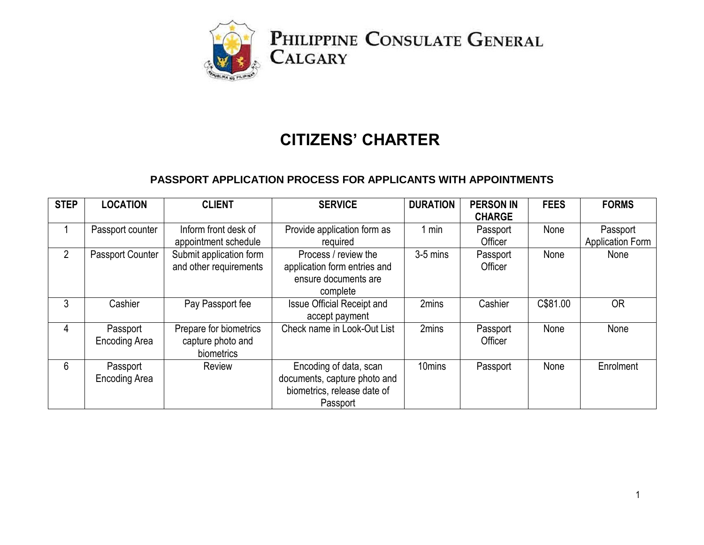

# **CITIZENS' CHARTER**

#### **PASSPORT APPLICATION PROCESS FOR APPLICANTS WITH APPOINTMENTS**

| <b>STEP</b>    | <b>LOCATION</b>                  | <b>CLIENT</b>                                             | <b>SERVICE</b>                                                                                    | <b>DURATION</b>    | <b>PERSON IN</b><br><b>CHARGE</b> | <b>FEES</b> | <b>FORMS</b>                        |
|----------------|----------------------------------|-----------------------------------------------------------|---------------------------------------------------------------------------------------------------|--------------------|-----------------------------------|-------------|-------------------------------------|
|                | Passport counter                 | Inform front desk of<br>appointment schedule              | Provide application form as<br>required                                                           | $1$ min            | Passport<br>Officer               | None        | Passport<br><b>Application Form</b> |
| $\overline{2}$ | Passport Counter                 | Submit application form<br>and other requirements         | Process / review the<br>application form entries and<br>ensure documents are<br>complete          | $3-5$ mins         | Passport<br>Officer               | None        | None                                |
| 3              | Cashier                          | Pay Passport fee                                          | <b>Issue Official Receipt and</b><br>accept payment                                               | 2mins              | Cashier                           | C\$81.00    | <b>OR</b>                           |
| 4              | Passport<br><b>Encoding Area</b> | Prepare for biometrics<br>capture photo and<br>biometrics | Check name in Look-Out List                                                                       | 2mins              | Passport<br>Officer               | None        | None                                |
| $6\phantom{1}$ | Passport<br><b>Encoding Area</b> | Review                                                    | Encoding of data, scan<br>documents, capture photo and<br>biometrics, release date of<br>Passport | 10 <sub>mins</sub> | Passport                          | None        | Enrolment                           |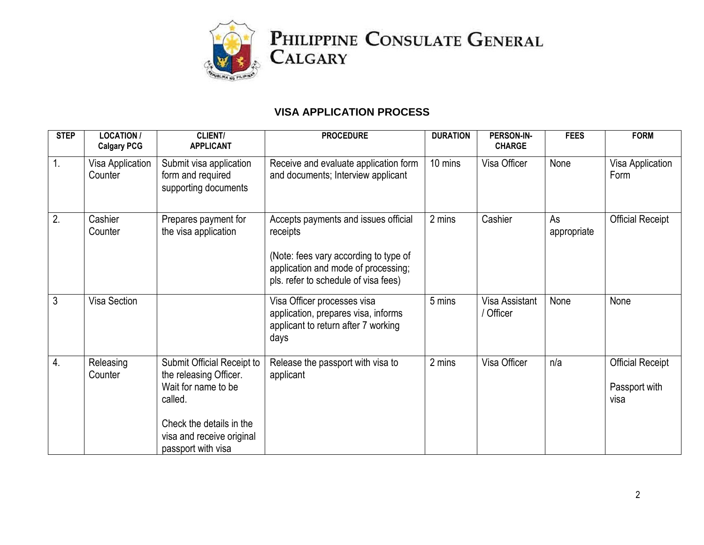

#### **VISA APPLICATION PROCESS**

| <b>STEP</b> | <b>LOCATION /</b><br><b>Calgary PCG</b> | CLIENT/<br><b>APPLICANT</b>                                                                                                                                           | <b>PROCEDURE</b>                                                                                                                                                         | <b>DURATION</b> | PERSON-IN-<br><b>CHARGE</b> | <b>FEES</b>       | <b>FORM</b>                                      |
|-------------|-----------------------------------------|-----------------------------------------------------------------------------------------------------------------------------------------------------------------------|--------------------------------------------------------------------------------------------------------------------------------------------------------------------------|-----------------|-----------------------------|-------------------|--------------------------------------------------|
| 1.          | Visa Application<br>Counter             | Submit visa application<br>form and required<br>supporting documents                                                                                                  | Receive and evaluate application form<br>and documents; Interview applicant                                                                                              | 10 mins         | Visa Officer                | None              | Visa Application<br>Form                         |
| 2.          | Cashier<br>Counter                      | Prepares payment for<br>the visa application                                                                                                                          | Accepts payments and issues official<br>receipts<br>(Note: fees vary according to type of<br>application and mode of processing;<br>pls. refer to schedule of visa fees) | 2 mins          | Cashier                     | As<br>appropriate | <b>Official Receipt</b>                          |
| 3           | Visa Section                            |                                                                                                                                                                       | Visa Officer processes visa<br>application, prepares visa, informs<br>applicant to return after 7 working<br>days                                                        | 5 mins          | Visa Assistant<br>/ Officer | None              | None                                             |
| 4.          | Releasing<br>Counter                    | Submit Official Receipt to<br>the releasing Officer.<br>Wait for name to be<br>called.<br>Check the details in the<br>visa and receive original<br>passport with visa | Release the passport with visa to<br>applicant                                                                                                                           | 2 mins          | Visa Officer                | n/a               | <b>Official Receipt</b><br>Passport with<br>visa |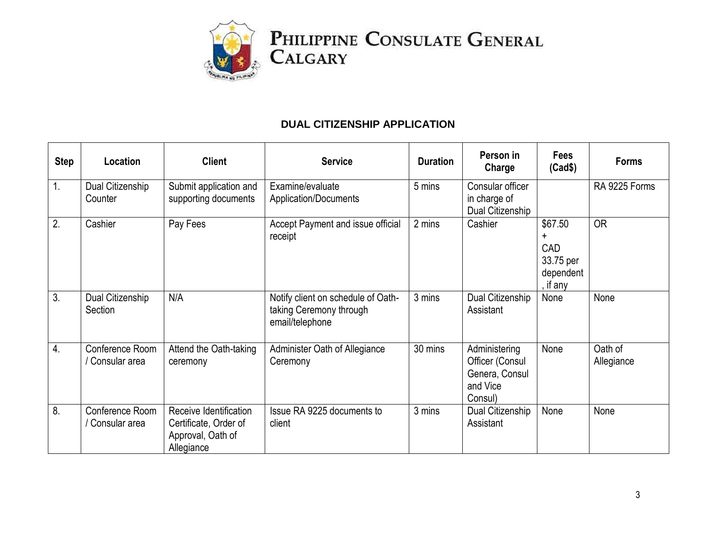

## **DUAL CITIZENSHIP APPLICATION**

| <b>Step</b> | Location                           | <b>Client</b>                                                                      | <b>Service</b>                                                                   | <b>Duration</b> | Person in<br>Charge                                                       | <b>Fees</b><br>(Cad\$)                                    | <b>Forms</b>          |
|-------------|------------------------------------|------------------------------------------------------------------------------------|----------------------------------------------------------------------------------|-----------------|---------------------------------------------------------------------------|-----------------------------------------------------------|-----------------------|
| 1.          | Dual Citizenship<br>Counter        | Submit application and<br>supporting documents                                     | Examine/evaluate<br>Application/Documents                                        | 5 mins          | Consular officer<br>in charge of<br>Dual Citizenship                      |                                                           | RA 9225 Forms         |
| 2.          | Cashier                            | Pay Fees                                                                           | Accept Payment and issue official<br>receipt                                     | 2 mins          | Cashier                                                                   | \$67.50<br>+<br>CAD<br>33.75 per<br>dependent<br>, if any | <b>OR</b>             |
| 3.          | Dual Citizenship<br>Section        | N/A                                                                                | Notify client on schedule of Oath-<br>taking Ceremony through<br>email/telephone | 3 mins          | Dual Citizenship<br>Assistant                                             | None                                                      | None                  |
| 4.          | Conference Room<br>' Consular area | Attend the Oath-taking<br>ceremony                                                 | Administer Oath of Allegiance<br>Ceremony                                        | 30 mins         | Administering<br>Officer (Consul<br>Genera, Consul<br>and Vice<br>Consul) | None                                                      | Oath of<br>Allegiance |
| 8.          | Conference Room<br>Consular area   | Receive Identification<br>Certificate, Order of<br>Approval, Oath of<br>Allegiance | Issue RA 9225 documents to<br>client                                             | 3 mins          | Dual Citizenship<br>Assistant                                             | None                                                      | None                  |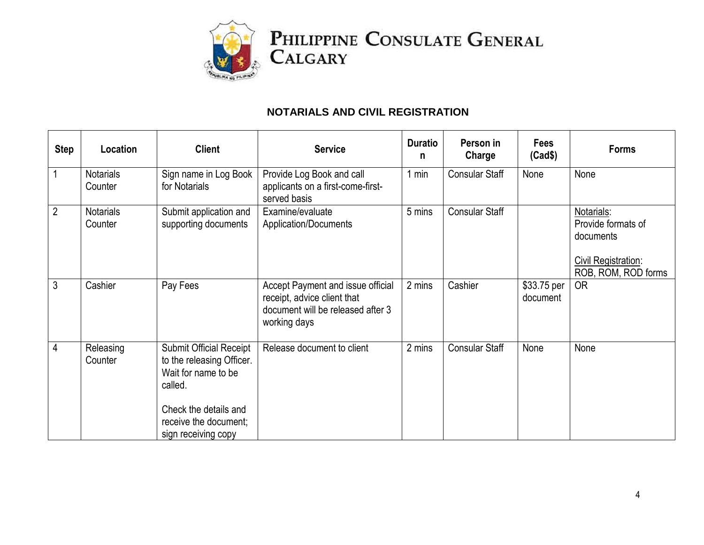

## **NOTARIALS AND CIVIL REGISTRATION**

| <b>Step</b>    | Location                    | <b>Client</b>                                                                                                                                                          | <b>Service</b>                                                                                                        | <b>Duratio</b><br>n | Person in<br>Charge   | <b>Fees</b><br>(Cad\$)  | <b>Forms</b>                                                                                |
|----------------|-----------------------------|------------------------------------------------------------------------------------------------------------------------------------------------------------------------|-----------------------------------------------------------------------------------------------------------------------|---------------------|-----------------------|-------------------------|---------------------------------------------------------------------------------------------|
|                | <b>Notarials</b><br>Counter | Sign name in Log Book<br>for Notarials                                                                                                                                 | Provide Log Book and call<br>applicants on a first-come-first-<br>served basis                                        | 1 min               | <b>Consular Staff</b> | None                    | None                                                                                        |
| $\overline{2}$ | <b>Notarials</b><br>Counter | Submit application and<br>supporting documents                                                                                                                         | Examine/evaluate<br>Application/Documents                                                                             | 5 mins              | <b>Consular Staff</b> |                         | Notarials:<br>Provide formats of<br>documents<br>Civil Registration:<br>ROB, ROM, ROD forms |
| 3              | Cashier                     | Pay Fees                                                                                                                                                               | Accept Payment and issue official<br>receipt, advice client that<br>document will be released after 3<br>working days | 2 mins              | Cashier               | \$33.75 per<br>document | <b>OR</b>                                                                                   |
| 4              | Releasing<br>Counter        | <b>Submit Official Receipt</b><br>to the releasing Officer.<br>Wait for name to be<br>called.<br>Check the details and<br>receive the document;<br>sign receiving copy | Release document to client                                                                                            | 2 mins              | <b>Consular Staff</b> | None                    | None                                                                                        |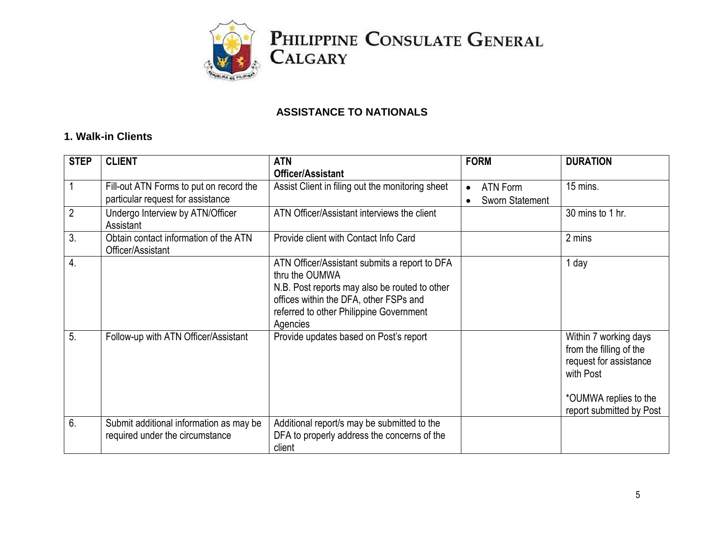

#### **ASSISTANCE TO NATIONALS**

#### **1. Walk-in Clients**

| <b>STEP</b>      | <b>CLIENT</b>                                                              | <b>ATN</b>                                                                                                                                                                                                        | <b>FORM</b>           | <b>DURATION</b>                                                                                                                              |
|------------------|----------------------------------------------------------------------------|-------------------------------------------------------------------------------------------------------------------------------------------------------------------------------------------------------------------|-----------------------|----------------------------------------------------------------------------------------------------------------------------------------------|
|                  |                                                                            | <b>Officer/Assistant</b>                                                                                                                                                                                          |                       |                                                                                                                                              |
|                  | Fill-out ATN Forms to put on record the                                    | Assist Client in filing out the monitoring sheet                                                                                                                                                                  | ATN Form<br>$\bullet$ | 15 mins.                                                                                                                                     |
|                  | particular request for assistance                                          |                                                                                                                                                                                                                   | Sworn Statement       |                                                                                                                                              |
| $\overline{2}$   | Undergo Interview by ATN/Officer<br>Assistant                              | ATN Officer/Assistant interviews the client                                                                                                                                                                       |                       | 30 mins to 1 hr.                                                                                                                             |
| 3.               | Obtain contact information of the ATN<br>Officer/Assistant                 | Provide client with Contact Info Card                                                                                                                                                                             |                       | 2 mins                                                                                                                                       |
| $\overline{4}$ . |                                                                            | ATN Officer/Assistant submits a report to DFA<br>thru the OUMWA<br>N.B. Post reports may also be routed to other<br>offices within the DFA, other FSPs and<br>referred to other Philippine Government<br>Agencies |                       | 1 day                                                                                                                                        |
| 5.               | Follow-up with ATN Officer/Assistant                                       | Provide updates based on Post's report                                                                                                                                                                            |                       | Within 7 working days<br>from the filling of the<br>request for assistance<br>with Post<br>*OUMWA replies to the<br>report submitted by Post |
| 6.               | Submit additional information as may be<br>required under the circumstance | Additional report/s may be submitted to the<br>DFA to properly address the concerns of the<br>client                                                                                                              |                       |                                                                                                                                              |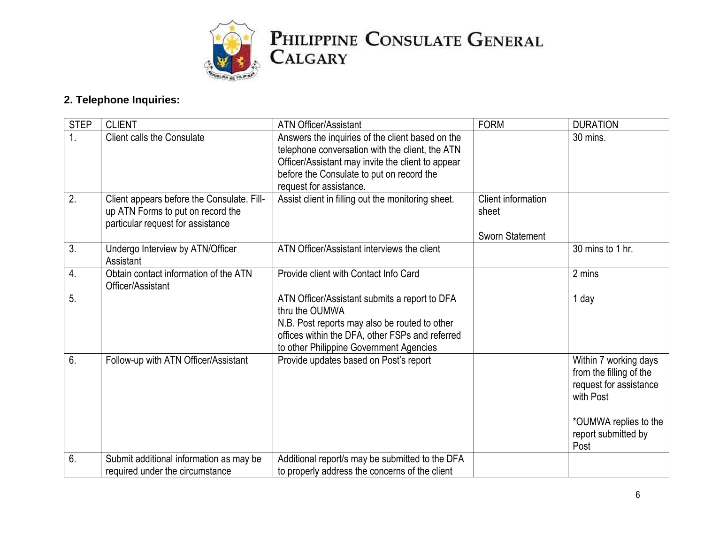

# **2. Telephone Inquiries:**

| <b>STEP</b>      | <b>CLIENT</b>                                                                                                        | <b>ATN Officer/Assistant</b>                                                                                                                                                                                                     | <b>FORM</b>                                           | <b>DURATION</b>                                                                                                                         |
|------------------|----------------------------------------------------------------------------------------------------------------------|----------------------------------------------------------------------------------------------------------------------------------------------------------------------------------------------------------------------------------|-------------------------------------------------------|-----------------------------------------------------------------------------------------------------------------------------------------|
| 1.               | <b>Client calls the Consulate</b>                                                                                    | Answers the inquiries of the client based on the<br>telephone conversation with the client, the ATN<br>Officer/Assistant may invite the client to appear<br>before the Consulate to put on record the<br>request for assistance. |                                                       | 30 mins.                                                                                                                                |
| $\overline{2}$ . | Client appears before the Consulate. Fill-<br>up ATN Forms to put on record the<br>particular request for assistance | Assist client in filling out the monitoring sheet.                                                                                                                                                                               | <b>Client information</b><br>sheet<br>Sworn Statement |                                                                                                                                         |
| 3.               | Undergo Interview by ATN/Officer<br>Assistant                                                                        | ATN Officer/Assistant interviews the client                                                                                                                                                                                      |                                                       | 30 mins to 1 hr.                                                                                                                        |
| $\overline{4}$ . | Obtain contact information of the ATN<br>Officer/Assistant                                                           | Provide client with Contact Info Card                                                                                                                                                                                            |                                                       | 2 mins                                                                                                                                  |
| 5.               |                                                                                                                      | ATN Officer/Assistant submits a report to DFA<br>thru the OUMWA<br>N.B. Post reports may also be routed to other<br>offices within the DFA, other FSPs and referred<br>to other Philippine Government Agencies                   |                                                       | 1 day                                                                                                                                   |
| 6.               | Follow-up with ATN Officer/Assistant                                                                                 | Provide updates based on Post's report                                                                                                                                                                                           |                                                       | Within 7 working days<br>from the filling of the<br>request for assistance<br>with Post<br>*OUMWA replies to the<br>report submitted by |
| 6.               |                                                                                                                      |                                                                                                                                                                                                                                  |                                                       | Post                                                                                                                                    |
|                  | Submit additional information as may be<br>required under the circumstance                                           | Additional report/s may be submitted to the DFA<br>to properly address the concerns of the client                                                                                                                                |                                                       |                                                                                                                                         |